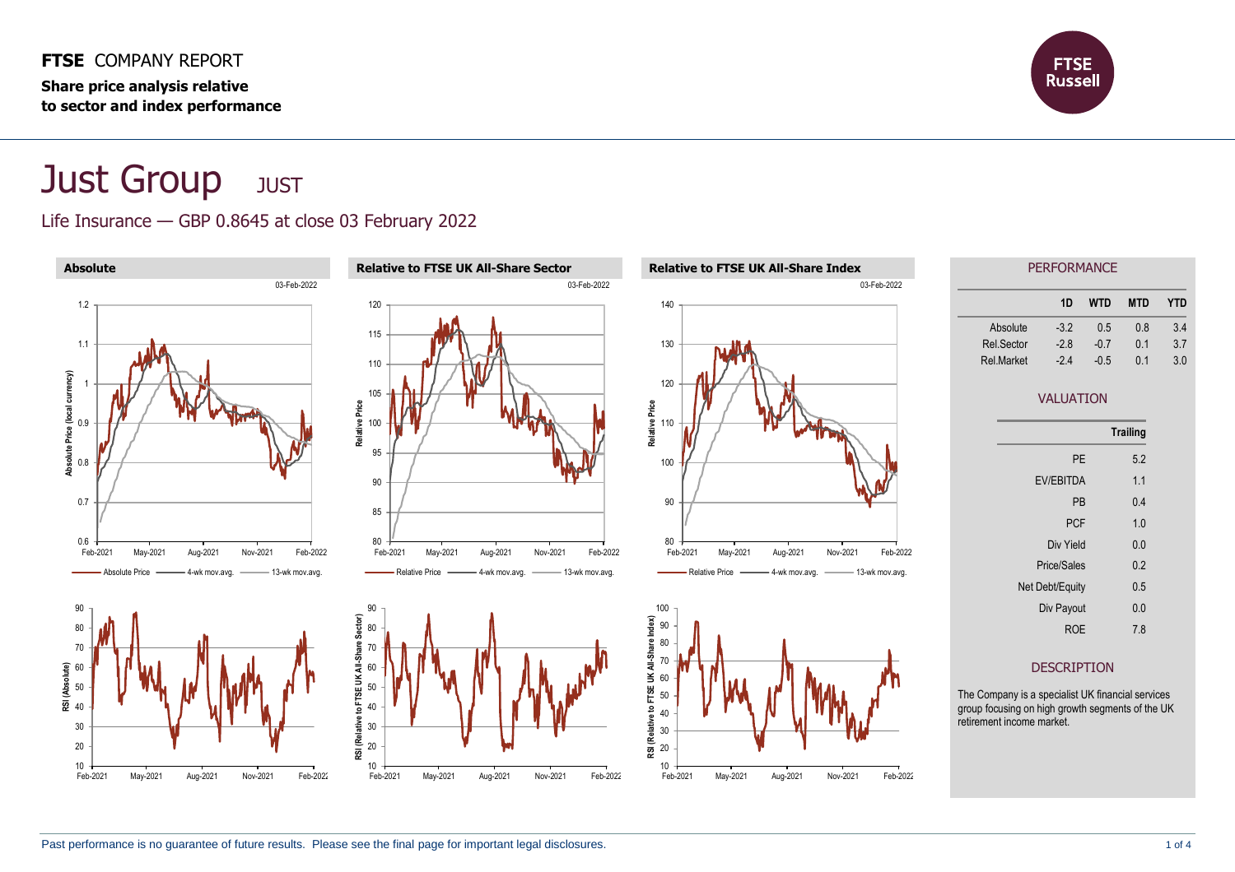#### **FTSE** COMPANY REPORT **Share price analysis relative**

**to sector and index performance**



# **Just Group** JUST

### Life Insurance — GBP 0.8645 at close 03 February 2022

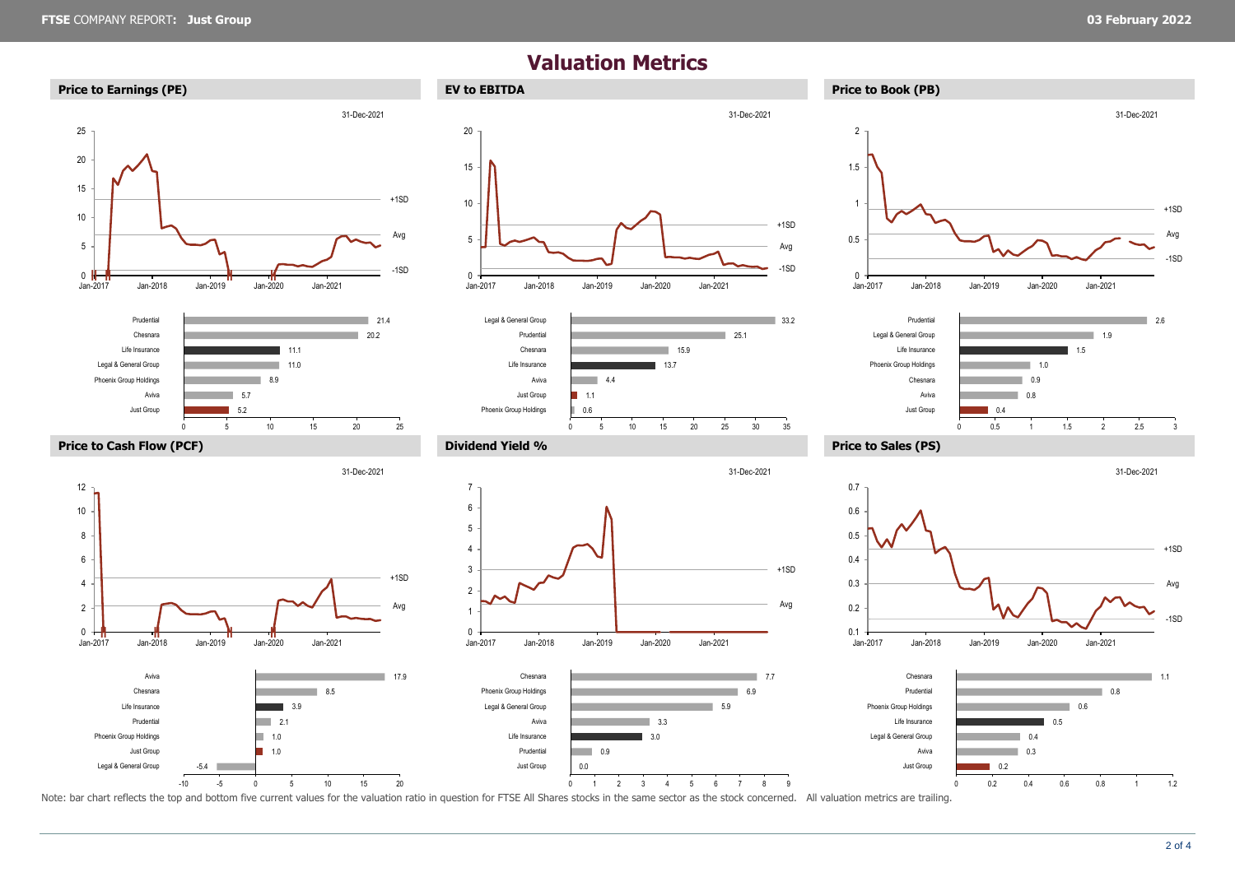<sup>0</sup> **‖ ‖ ‖ ‖**

Jan-2017 Jan-2018 Jan-2019 Jan-2020 Jan-2021

-5.4

1.0  $1.0$  $\overline{\phantom{0}}$  2.1 3.9

ь

8.5

2 4

> Legal & General Group Just Group Phoenix Group Holdings Prudential Life Insurance Chesnara Aviva

#### **Valuation Metrics**

Jan-2017 Jan-2018 Jan-2019 Jan-2020 Jan-2021

3.0 3.3

۰

0.0  $\overline{0.9}$ 

Just Group Prudential Life Insurance Aviva Legal & General Group Phoenix Group Holdings Chesnara -1SD

33.2

+1SD

Avg

 $+1SD$ Avg

31-Dec-2021

25.1

31-Dec-2021

5.9  $\overline{6.9}$  $7.7$ 



 $+1SD$ 

Avg

17.9





-10 -5 0 5 10 15 20 0 1 2 3 4 5 6 7 8 9 Note: bar chart reflects the top and bottom five current values for the valuation ratio in question for FTSE All Shares stocks in the same sector as the stock concerned. All valuation metrics are trailing.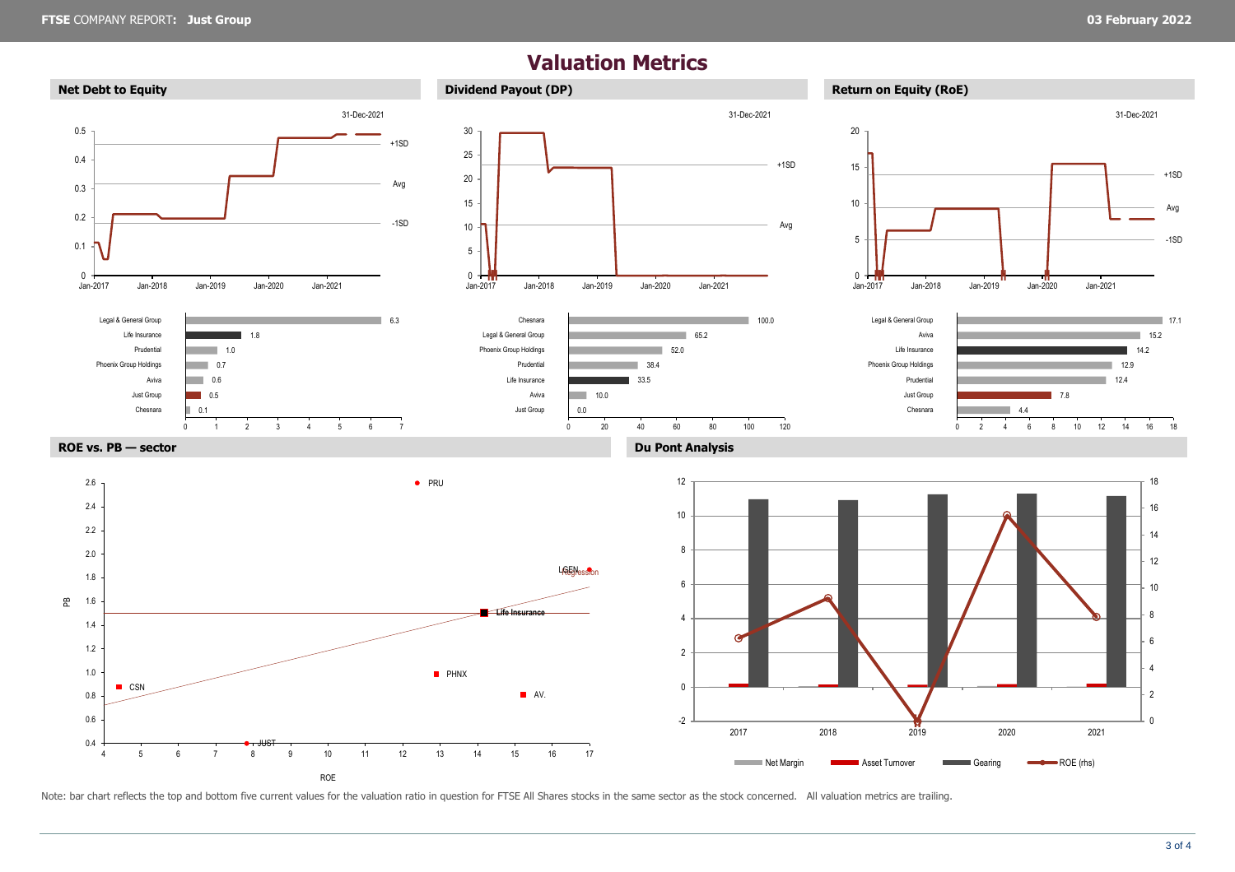## **Valuation Metrics**



Note: bar chart reflects the top and bottom five current values for the valuation ratio in question for FTSE All Shares stocks in the same sector as the stock concerned. All valuation metrics are trailing.